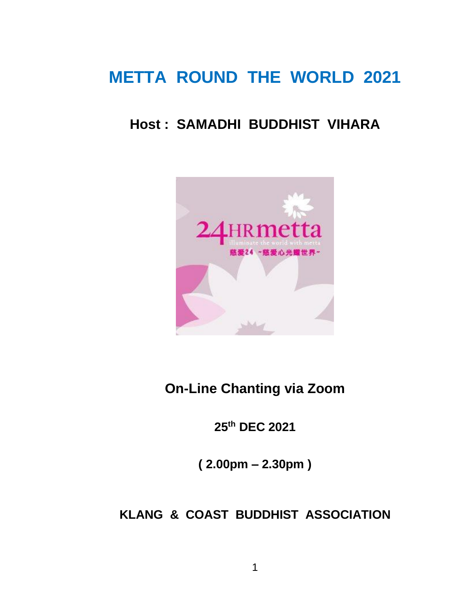## **METTA ROUND THE WORLD 2021**

## **Host : SAMADHI BUDDHIST VIHARA**



**On-Line Chanting via Zoom**

**25 th DEC 2021**

**( 2.00pm – 2.30pm )**

## **KLANG & COAST BUDDHIST ASSOCIATION**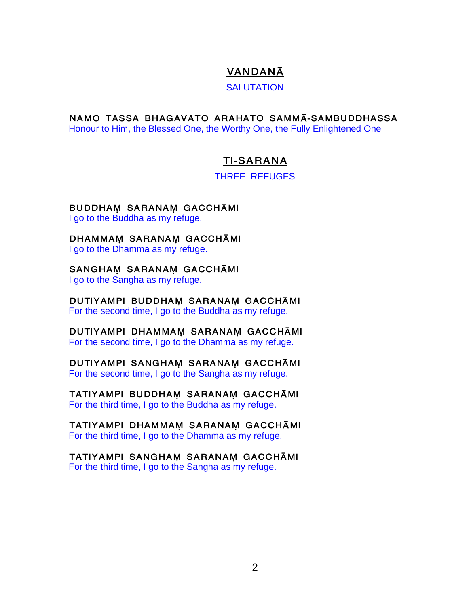### **VANDAN¾**

#### **SALUTATION**

## NAMO TASSA BHAGAVATO ARAHATO SAMMA-SAMBUDDHASSA

Honour to Him, the Blessed One, the Worthy One, the Fully Enlightened One

## **TI-SARANA**

#### THREE REFUGES

**BUDDHAM SARANAM GACCHĀMI** I go to the Buddha as my refuge.

**DHAMMAM** SARANAM GACCHAMI I go to the Dhamma as my refuge.

 $SANGHAM$  SARANAM GACCHAMI I go to the Sangha as my refuge.

**DUTIYAMPI BUDDHAM SARANAM GACCHĀMI** For the second time, I go to the Buddha as my refuge.

**DUTIYAMPI DHAMMAþ SARANAþ GACCH¾MI** For the second time, I go to the Dhamma as my refuge.

**DUTIYAMPI SANGHAM SARANAM GACCHĀMI** For the second time, I go to the Sangha as my refuge.

**TATIYAMPI BUDDHAþ SARANAþ GACCH¾MI** For the third time, I go to the Buddha as my refuge.

**TATIYAMPI DHAMMAþ SARANAþ GACCH¾MI** For the third time, I go to the Dhamma as my refuge.

**TATIYAMPI SANGHAþ SARANAþ GACCH¾MI** For the third time, I go to the Sangha as my refuge.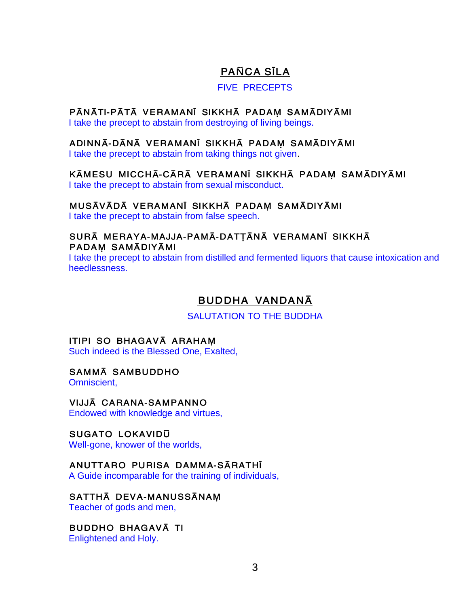## **PAÑCA SĪLA**

#### FIVE PRECEPTS

#### **P¾N¾TI-P¾T¾ VERAMAN¿ SIKKH¾ PADAþ SAM¾DIY¾MI** I take the precept to abstain from destroying of living beings.

#### **ADINN¾-D¾N¾ VERAMAN¿ SIKKH¾ PADAþ SAM¾DIY¾MI** I take the precept to abstain from taking things not given.

**K¾MESU MICCH¾-C¾R¾ VERAMAN¿ SIKKH¾ PADAþ SAM¾DIY¾MI** I take the precept to abstain from sexual misconduct.

**MUS¾V¾D¾ VERAMAN¿ SIKKH¾ PADAþ SAM¾DIY¾MI** I take the precept to abstain from false speech.

## $SUR\bar{A}$  MERAYA-MAJJA-PAMA-DATTANA VERAMANĪ SIKKHĀ **PADAþ SAM¾DIY¾MI**

I take the precept to abstain from distilled and fermented liquors that cause intoxication and heedlessness.

## **BUDDHA VANDAN¾**

SALUTATION TO THE BUDDHA

**ITIPI SO BHAGAVĀ ARAHAM** Such indeed is the Blessed One, Exalted,

**SAMM¾ SAMBUDDHO** Omniscient,

**VIJJ¾ CARANA-SAMPANNO** Endowed with knowledge and virtues,

**SUGATO LOKAVIDÐ** Well-gone, knower of the worlds,

#### **ANUTTARO PURISA DAMMA-S¾RATH¿**

A Guide incomparable for the training of individuals,

SATTHA DEVA-MANUSSANAM Teacher of gods and men,

**BUDDHO BHAGAVĀ TI** Enlightened and Holy.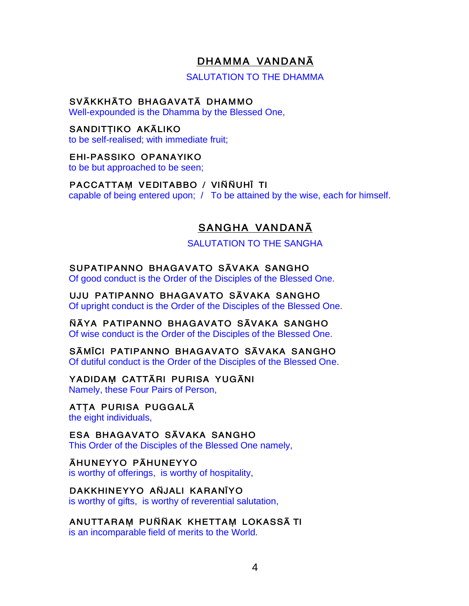## **DHAMMA VANDAN¾**

SALUTATION TO THE DHAMMA

#### SVĀKKHĀTO BHAGAVATĀ DHAMMO

Well-expounded is the Dhamma by the Blessed One,

**SANDITTIKO AKĀLIKO** to be self-realised; with immediate fruit;

**EHI-PASSIKO OPANAYIKO** to be but approached to be seen;

**PACCATTAþ VEDITABBO / VIÑÑUH¿ TI** capable of being entered upon; / To be attained by the wise, each for himself.

## **SANGHA VANDAN¾**

SALUTATION TO THE SANGHA

SUPATIPANNO BHAGAVATO SĀVAKA SANGHO Of good conduct is the Order of the Disciples of the Blessed One.

**UJU PATIPANNO BHAGAVATO SĀVAKA SANGHO** Of upright conduct is the Order of the Disciples of the Blessed One.

**ÑĀYA PATIPANNO BHAGAVATO SĀVAKA SANGHO** Of wise conduct is the Order of the Disciples of the Blessed One.

SĀMĪCI PATIPANNO BHAGAVATO SĀVAKA SANGHO Of dutiful conduct is the Order of the Disciples of the Blessed One.

YADIDAM CATTĀRI PURISA YUGĀNI Namely, these Four Pairs of Person,

**ATTA PURISA PUGGALĀ** the eight individuals,

**ESA BHAGAVATO SĀVAKA SANGHO** This Order of the Disciples of the Blessed One namely,

**¾HUNEYYO P¾HUNEYYO** is worthy of offerings, is worthy of hospitality,

**DAKKHINEYYO AÑJALI KARAN¿YO** is worthy of gifts, is worthy of reverential salutation,

**ANUTTARAþ PUÑÑAK KHETTAþ LOKASS¾ TI** is an incomparable field of merits to the World.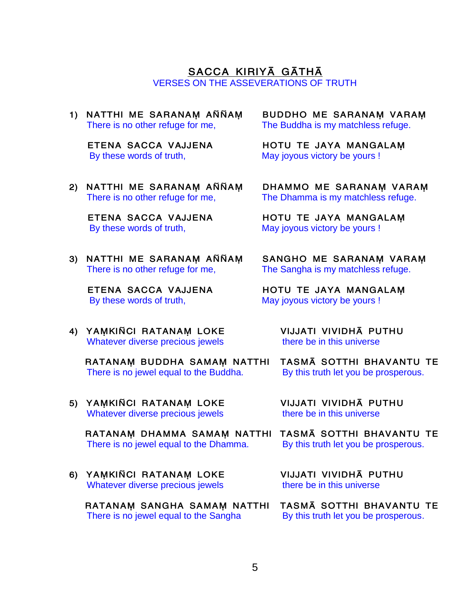#### **SACCA KIRIYĀ GĀTHĀ** VERSES ON THE ASSEVERATIONS OF TRUTH

1) NATTHI ME SARANAM AÑÑAM BUDDHO ME SARANAM VARAM There is no other refuge for me, The Buddha is my matchless refuge.

By these words of truth, May joyous victory be yours !

**2) NATTHI ME SARANAþ AÑÑAþ DHAMMO ME SARANAþ VARAþ** There is no other refuge for me, The Dhamma is my matchless refuge.

By these words of truth, May joyous victory be yours !

**3) NATTHI ME SARANAþ AÑÑAþ SANGHO ME SARANAþ VARAþ** There is no other refuge for me, The Sangha is my matchless refuge.

By these words of truth, May joyous victory be yours !

- 4) YAMKIÑCI RATANAM LOKE VIJJATI VIVIDHĀ PUTHU Whatever diverse precious jewels there be in this universe
	- RATANAM BUDDHA SAMAM NATTHI TASMĀ SOTTHI BHAVANTU TE There is no jewel equal to the Buddha. By this truth let you be prosperous.
- 5) YAMKIÑCI RATANAM LOKE VIJJATI VIVIDHĀ PUTHU Whatever diverse precious jewels there be in this universe

**ETENA SACCA VAJJENA HOTU TE JAYA MANGALAþ**

 **RATANAþ DHAMMA SAMAþ NATTHI TASM¾ SOTTHI BHAVANTU TE** There is no jewel equal to the Dhamma. By this truth let you be prosperous.

**6) YAþKIÑCI RATANAþ LOKE VIJJATI VIVIDH¾ PUTHU** Whatever diverse precious jewels there be in this universe

RATANAM SANGHA SAMAM NATTHI TASMA SOTTHI BHAVANTU TE There is no jewel equal to the Sangha By this truth let you be prosperous.

 **ETENA SACCA VAJJENA HOTU TE JAYA MANGALAþ**

**ETENA SACCA VAJJENA HOTU TE JAYA MANGALAþ**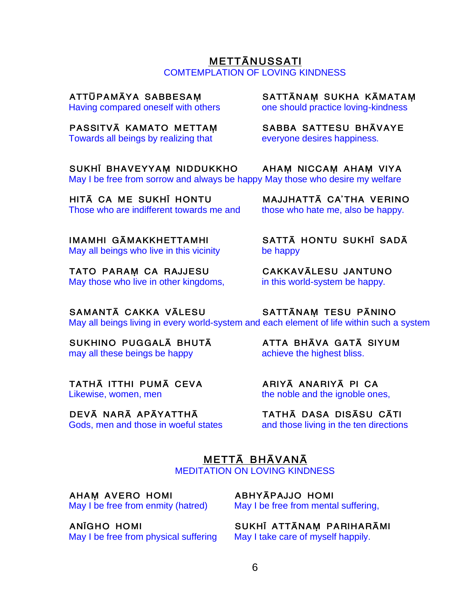#### **METT¾NUSSATI** COMTEMPLATION OF LOVING KINDNESS

Having compared oneself with others one should practice loving-kindness

ATTŪPAMĀYA SABBESAM SATTĀNAM SUKHA KĀMATAM

Towards all beings by realizing that everyone desires happiness.

PASSITVĀ KAMATO METTAM SABBA SATTESU BHĀVAYE

SUKHĪ BHAVEYYAM NIDDUKKHO AHAM NICCAM AHAM VIYA May I be free from sorrow and always be happy May those who desire my welfare

**HIT¾ CA ME SUKH¿ HONTU MAJJHATT¾ CA'THA VERINO** Those who are indifferent towards me and those who hate me, also be happy.

IMAMHI GĀMAKKHETTAMHI SATTĀ HONTU SUKHĪ SADĀ May all beings who live in this vicinity be happy

**TATO PARAþ CA RAJJESU CAKKAV¾LESU JANTUNO** May those who live in other kingdoms, in this world-system be happy.

#### SAMANTĀ CAKKA VĀLESU SATTĀNAM TESU PĀNINO

May all beings living in every world-system and each element of life within such a system

**SUKHINO PUGGAL¾ BHUT¾ ATTA BH¾VA GAT¾ SIYUM** may all these beings be happy achieve the highest bliss.

**TATH¾ ITTHI PUM¾ CEVA ARIY¾ ANARIY¾ PI CA** Likewise, women, men the noble and the ignoble ones,

**DEV¾ NAR¾ AP¾YATTH¾ TATH¾ DASA DIS¾SU C¾TI** Gods, men and those in woeful states and those living in the ten directions

#### **METTÄ BHAVANA** MEDITATION ON LOVING KINDNESS

**AHAþ AVERO HOMI ABHY¾PAJJO HOMI**

May I be free from enmity (hatred) May I be free from mental suffering,

ANĪGHO HOMI SUKHĪ ATTĀNAM PARIHARĀMI May I be free from physical suffering May I take care of myself happily.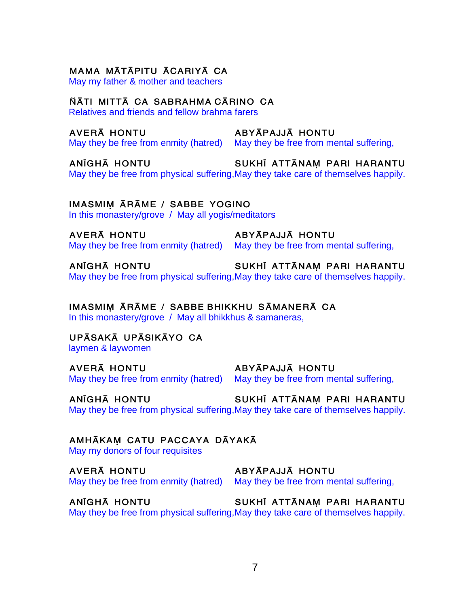#### **MAMA MĀTĀPITU ĀCARIYĀ CA**

May my father & mother and teachers

**ÑĀTI MITTĀ CA SABRAHMA CĀRINO CA** 

Relatives and friends and fellow brahma farers

**AVER¾ HONTU ABY¾PAJJ¾ HONTU**

May they be free from enmity (hatred) May they be free from mental suffering,

**AN¿GH¾ HONTU SUKH¿ ATT¾NAþ PARI HARANTU** May they be free from physical suffering,May they take care of themselves happily.

**IMASMIM ĀRĀME / SABBE YOGINO** In this monastery/grove / May all yogis/meditators

**AVER¾ HONTU ABY¾PAJJ¾ HONTU** 

May they be free from enmity (hatred) May they be free from mental suffering,

**AN¿GH¾ HONTU SUKH¿ ATT¾NAþ PARI HARANTU** May they be free from physical suffering,May they take care of themselves happily.

IMASMIM ĀRĀME / SABBE BHIKKHU SĀMANERĀ CA In this monastery/grove / May all bhikkhus & samaneras,

**UP¾SAK¾ UP¾SIK¾YO CA** laymen & laywomen

**AVER¾ HONTU ABY¾PAJJ¾ HONTU** 

May they be free from enmity (hatred) May they be free from mental suffering,

**AN¿GH¾ HONTU SUKH¿ ATT¾NAþ PARI HARANTU**

May they be free from physical suffering,May they take care of themselves happily.

AMHĀKAM CATU PACCAYA DĀYAKĀ May my donors of four requisites

**AVER¾ HONTU ABY¾PAJJ¾ HONTU** 

May they be free from enmity (hatred) May they be free from mental suffering,

**AN¿GH¾ HONTU SUKH¿ ATT¾NAþ PARI HARANTU** May they be free from physical suffering,May they take care of themselves happily.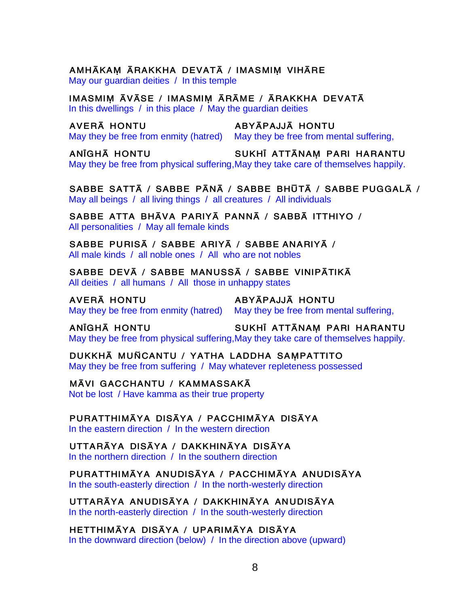## AMHĀKAM ĀRAKKHA DEVATĀ / IMASMIM VIHĀRE

May our guardian deities / In this temple

IMASMIM ĀVĀSE / IMASMIM ĀRĀME / ĀRAKKHA DEVATĀ In this dwellings / in this place / May the guardian deities

**AVER¾ HONTU ABY¾PAJJ¾ HONTU**  May they be free from enmity (hatred) May they be free from mental suffering,

**AN¿GH¾ HONTU SUKH¿ ATT¾NAþ PARI HARANTU** May they be free from physical suffering,May they take care of themselves happily.

**SABBE SATT¾ / SABBE P¾N¾ / SABBE BHÐT¾ / SABBE PUGGAL¾ /** May all beings / all living things / all creatures / All individuals

**SABBE ATTA BH¾VA PARIY¾ PANN¾ / SABB¾ ITTHIYO /** All personalities / May all female kinds

**SABBE PURIS¾ / SABBE ARIY¾ / SABBE ANARIY¾ /**  All male kinds / all noble ones / All who are not nobles

SABBE DEVĀ / SABBE MANUSSĀ / SABBE VINIPĀTIKĀ All deities / all humans / All those in unhappy states

**AVER¾ HONTU ABY¾PAJJ¾ HONTU**  May they be free from enmity (hatred) May they be free from mental suffering,

ANĪGHĀ HONTU SUKHĪ ATTĀNAM PARI HARANTU May they be free from physical suffering,May they take care of themselves happily.

**DUKKH¾ MUÑCANTU / YATHA LADDHA SAþPATTITO** May they be free from suffering / May whatever repleteness possessed

**M¾VI GACCHANTU / KAMMASSAK¾** Not be lost / Have kamma as their true property

**PURATTHIM¾YA DIS¾YA / PACCHIM¾YA DIS¾YA** In the eastern direction / In the western direction

**UTTAR¾YA DIS¾YA / DAKKHIN¾YA DIS¾YA** In the northern direction / In the southern direction

**PURATTHIM¾YA ANUDIS¾YA / PACCHIM¾YA ANUDIS¾YA** In the south-easterly direction / In the north-westerly direction

**UTTAR¾YA ANUDIS¾YA / DAKKHIN¾YA ANUDIS¾YA** In the north-easterly direction / In the south-westerly direction

**HETTHIM¾YA DIS¾YA / UPARIM¾YA DIS¾YA** In the downward direction (below) / In the direction above (upward)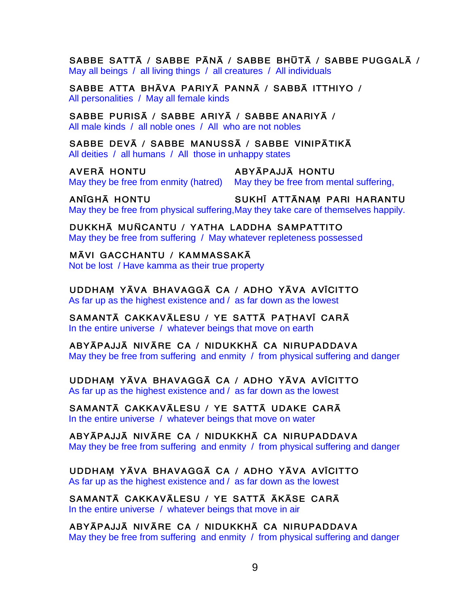SABBE SATTĀ / SABBE PĀNĀ / SABBE BHŪTĀ / SABBE PUGGALĀ / May all beings / all living things / all creatures / All individuals

SABBE ATTA BHAVA PARIYA PANNA / SABBA ITTHIYO / All personalities / May all female kinds

**SABBE PURIS¾ / SABBE ARIY¾ / SABBE ANARIY¾ /**  All male kinds / all noble ones / All who are not nobles

SABBE DEVĀ / SABBE MANUSSĀ / SABBE VINIPĀTIKĀ All deities / all humans / All those in unhappy states

**AVER¾ HONTU ABY¾PAJJ¾ HONTU**  May they be free from enmity (hatred) May they be free from mental suffering,

**AN¿GH¾ HONTU SUKH¿ ATT¾NAþ PARI HARANTU** May they be free from physical suffering,May they take care of themselves happily.

**DUKKH¾ MUÑCANTU / YATHA LADDHA SAMPATTITO** May they be free from suffering / May whatever repleteness possessed

**M¾VI GACCHANTU / KAMMASSAK¾** Not be lost / Have kamma as their true property

UDDHAM YĀVA BHAVAGGĀ CA / ADHO YĀVA AVĪCITTO As far up as the highest existence and / as far down as the lowest

SAMANTĀ CAKKAVĀLESU / YE SATTĀ PATHAVĪ CARĀ In the entire universe / whatever beings that move on earth

**ABY¾PAJJ¾ NIV¾RE CA / NIDUKKH¾ CA NIRUPADDAVA** May they be free from suffering and enmity / from physical suffering and danger

UDDHAM YĀVA BHAVAGGĀ CA / ADHO YĀVA AVĪCITTO As far up as the highest existence and / as far down as the lowest

SAMANTĀ CAKKAVĀLESU / YE SATTĀ UDAKE CARĀ In the entire universe / whatever beings that move on water

**ABY¾PAJJ¾ NIV¾RE CA / NIDUKKH¾ CA NIRUPADDAVA** May they be free from suffering and enmity / from physical suffering and danger

**UDDHAþ Y¾VA BHAVAGG¾ CA / ADHO Y¾VA AV¿CITTO**  As far up as the highest existence and / as far down as the lowest

SAMANTĀ CAKKAVĀLESU / YE SATTĀ ĀKĀSE CARĀ In the entire universe / whatever beings that move in air

**ABY¾PAJJ¾ NIV¾RE CA / NIDUKKH¾ CA NIRUPADDAVA** May they be free from suffering and enmity / from physical suffering and danger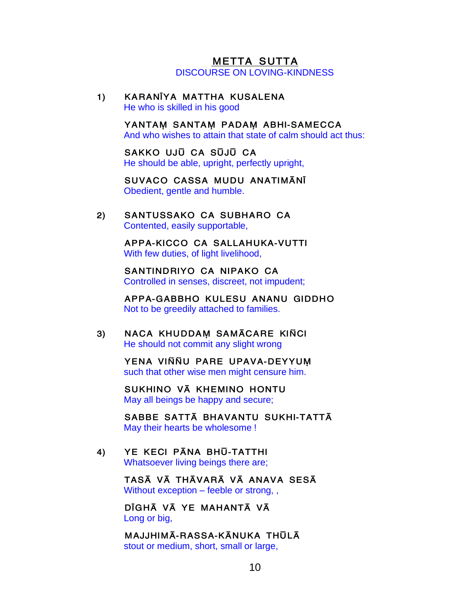#### **METTA SUTTA** DISCOURSE ON LOVING-KINDNESS

**1) KARAN¿YA MATTHA KUSALENA** He who is skilled in his good

> **YANTAþ SANTAþ PADAþ ABHI-SAMECCA** And who wishes to attain that state of calm should act thus:

**SAKKO UJÐ CA SÐJÐ CA** He should be able, upright, perfectly upright,

**SUVACO CASSA MUDU ANATIMĀNĪ** Obedient, gentle and humble.

**2) SANTUSSAKO CA SUBHARO CA** Contented, easily supportable,

> **APPA-KICCO CA SALLAHUKA-VUTTI** With few duties, of light livelihood,

**SANTINDRIYO CA NIPAKO CA** Controlled in senses, discreet, not impudent;

**APPA-GABBHO KULESU ANANU GIDDHO** Not to be greedily attached to families.

**3) NACA KHUDDAþ SAM¾CARE KIÑCI** He should not commit any slight wrong

> **YENA VIÑÑU PARE UPAVA-DEYYUþ** such that other wise men might censure him.

**SUKHINO V¾ KHEMINO HONTU** May all beings be happy and secure;

**SABBE SATT¾ BHAVANTU SUKHI-TATT¾** May their hearts be wholesome !

**4) YE KECI P¾NA BHÐ-TATTHI** Whatsoever living beings there are;

> **TAS¾ V¾ TH¾VAR¾ V¾ ANAVA SES¾** Without exception – feeble or strong, ,

 $D\overline{I}$ GHA VA YE MAHANTA VA Long or big,

**MAJJHIM¾-RASSA-K¾NUKA THÐL¾** stout or medium, short, small or large,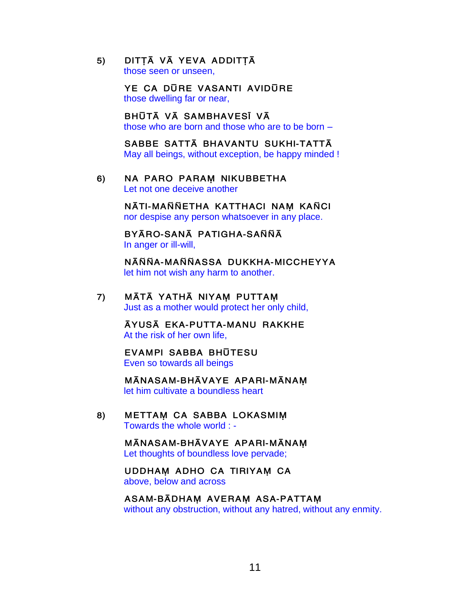5) DITȚĂ VĂ YEVA ADDITȚĂ those seen or unseen,

> **YE CA DÐRE VASANTI AVIDÐRE** those dwelling far or near,

**BHÐT¾ V¾ SAMBHAVES¿ V¾** those who are born and those who are to be born –

**SABBE SATT¾ BHAVANTU SUKHI-TATT¾** May all beings, without exception, be happy minded !

**6) NA PARO PARAþ NIKUBBETHA**  Let not one deceive another

> **N¾TI-MAÑÑETHA KATTHACI NAþ KAÑCI** nor despise any person whatsoever in any place.

**BYĀRO-SANĀ PATIGHA-SAÑÑĀ** In anger or ill-will,

**N¾ÑÑA-MAÑÑASSA DUKKHA-MICCHEYYA** let him not wish any harm to another.

**7) M¾T¾ YATH¾ NIYAþ PUTTAþ** Just as a mother would protect her only child,

> **¾YUS¾ EKA-PUTTA-MANU RAKKHE** At the risk of her own life,

**EVAMPI SABBA BHÐTESU** Even so towards all beings

**MĀNASAM-BHĀVAYE APARI-MĀNAM** let him cultivate a boundless heart

**8) METTAþ CA SABBA LOKASMIþ** Towards the whole world : -

> **MĀNASAM-BHĀVAYE APARI-MĀNAM** Let thoughts of boundless love pervade;

**UDDHAþ ADHO CA TIRIYAþ CA** above, below and across

**ASAM-B¾DHAþ AVERAþ ASA-PATTAþ** without any obstruction, without any hatred, without any enmity.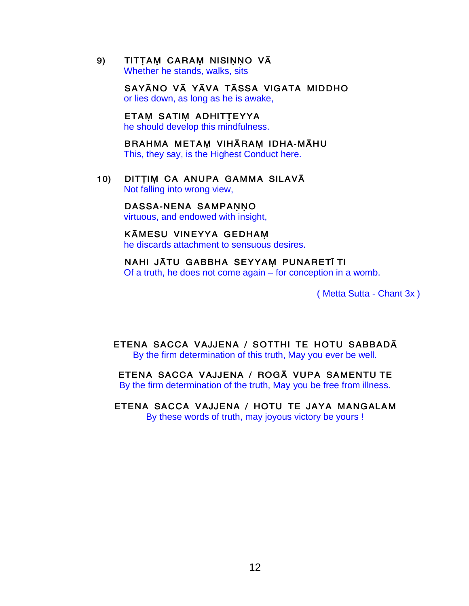9) **TITTAM CARAM NISINNO VĀ** Whether he stands, walks, sits

> **SAY¾NO V¾ Y¾VA T¾SSA VIGATA MIDDHO** or lies down, as long as he is awake,

**ETAþ SATIþ ADHITÝEYYA** he should develop this mindfulness.

**BRAHMA METAM VIHĀRAM IDHA-MĀHU** This, they say, is the Highest Conduct here.

10) DITTIM CA ANUPA GAMMA SILAVĀ Not falling into wrong view,

> DASSA-NENA SAMPANNO virtuous, and endowed with insight,

**K¾MESU VINEYYA GEDHAþ** he discards attachment to sensuous desires.

**NAHI JĀTU GABBHA SEYYAM PUNARETĪ TI** Of a truth, he does not come again – for conception in a womb.

( Metta Sutta - Chant 3x )

**ETENA SACCA VAJJENA / SOTTHI TE HOTU SABBAD¾** By the firm determination of this truth, May you ever be well.

**ETENA SACCA VAJJENA / ROGĀ VUPA SAMENTU TE** By the firm determination of the truth, May you be free from illness.

**ETENA SACCA VAJJENA / HOTU TE JAYA MANGALAM** By these words of truth, may joyous victory be yours !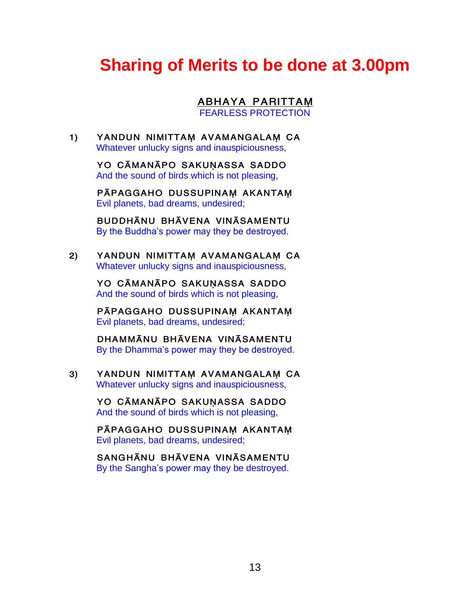## **Sharing of Merits to be done at 3.00pm**

**ABHAYA PARITTAM** FEARLESS PROTECTION

**1) YANDUN NIMITTAþ AVAMANGALAþ CA** Whatever unlucky signs and inauspiciousness,

> YO CĀMANĀPO SAKUŅASSA SADDO And the sound of birds which is not pleasing,

**P¾PAGGAHO DUSSUPINAþ AKANTAþ** Evil planets, bad dreams, undesired;

**BUDDH¾NU BH¾VENA VIN¾SAMENTU** By the Buddha's power may they be destroyed.

**2) YANDUN NIMITTAþ AVAMANGALAþ CA** Whatever unlucky signs and inauspiciousness,

> YO CĀMANĀPO SAKUŅASSA SADDO And the sound of birds which is not pleasing,

**PĀPAGGAHO DUSSUPINAM AKANTAM** Evil planets, bad dreams, undesired;

DHAMMĀNU BHĀVENA VINĀSAMENTU By the Dhamma's power may they be destroyed.

**3) YANDUN NIMITTAþ AVAMANGALAþ CA** Whatever unlucky signs and inauspiciousness,

> YO CĀMANĀPO SAKUNASSA SADDO And the sound of birds which is not pleasing,

**PĀPAGGAHO DUSSUPINAM AKANTAM** Evil planets, bad dreams, undesired;

**SANGH¾NU BH¾VENA VIN¾SAMENTU** By the Sangha's power may they be destroyed.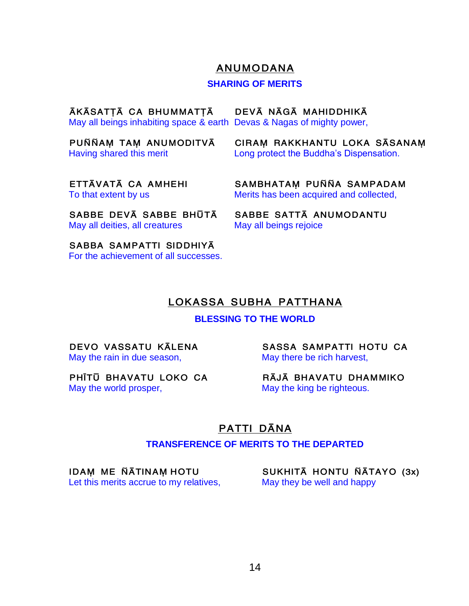## **ANUMODANA**

#### **SHARING OF MERITS**

**¾K¾SATݾ CA BHUMMATݾ DEV¾ N¾G¾ MAHIDDHIK¾** May all beings inhabiting space & earth Devas & Nagas of mighty power,

**PUÑÑAŅ TAŅ ANUMODITVĀ CIRAŅ RAKKHANTU LOKA SĀSANAŅ<br>Having shared this merit long protect the Buddha's Dispensation.** Long protect the Buddha's Dispensation.

**ETT¾VAT¾ CA AMHEHI SAMBHATAþ PUÑÑA SAMPADAM** To that extent by us Merits has been acquired and collected,

May all deities, all creatures May all beings rejoice

**SABBA SAMPATTI SIDDHIY¾** For the achievement of all successes.

SABBE DEVĀ SABBE BHŪTĀ SABBE SATTĀ ANUMODANTU

## **LOKASSA SUBHA PATTHANA**

#### **BLESSING TO THE WORLD**

May the rain in due season, May there be rich harvest,

**PHĪTŪ BHAVATU LOKO CA RĀJĀ BHAVATU DHAMMIKO** May the world prosper, May the king be righteous.

**DEVO VASSATU K¾LENA SASSA SAMPATTI HOTU CA**

## **PATTI DĀNA**

#### **TRANSFERENCE OF MERITS TO THE DEPARTED**

Let this merits accrue to my relatives, May they be well and happy

**IDAM ME ÑĀTINAM HOTU SUKHITĀ HONTU ÑĀTAYO (3x)**